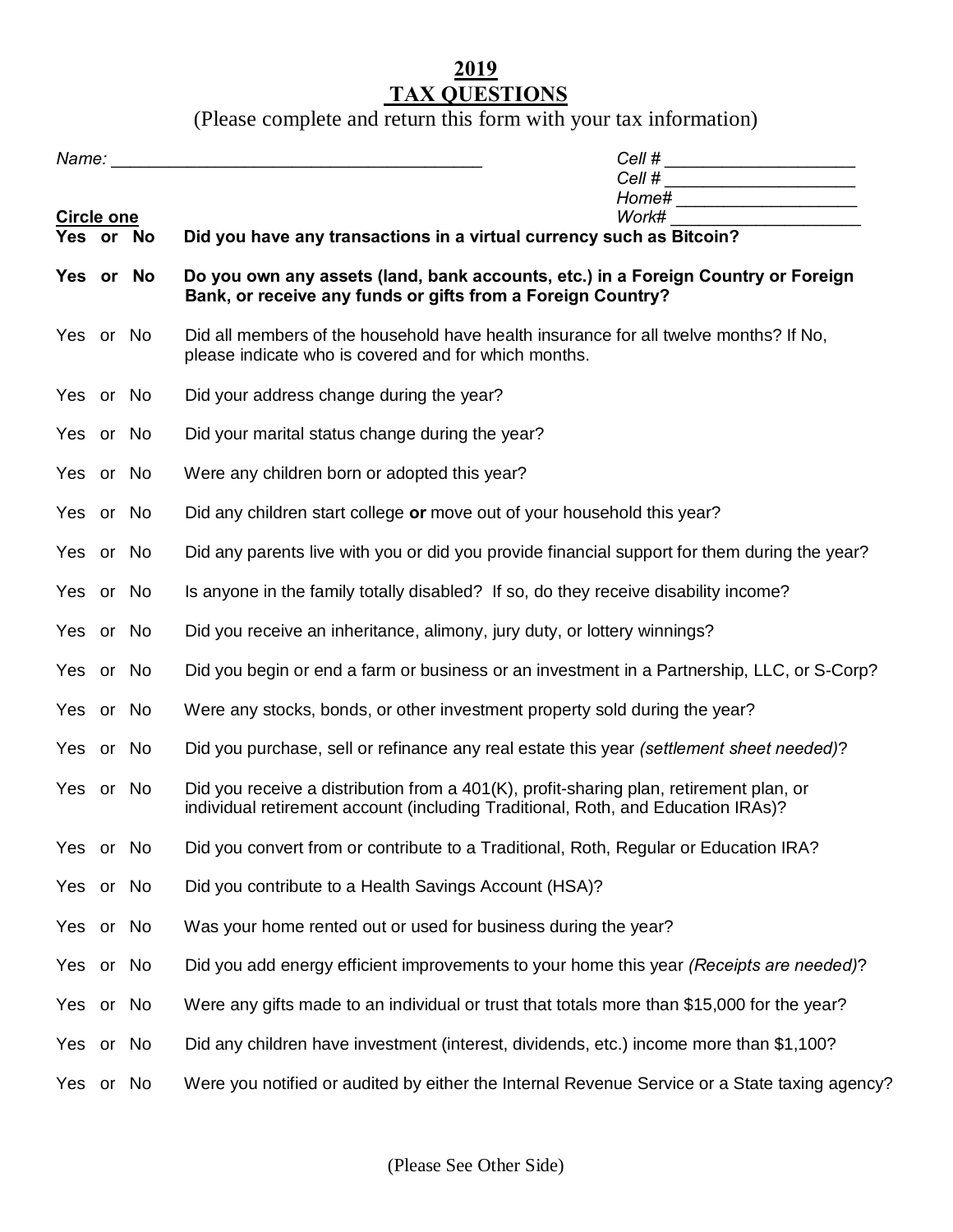## **2019 TAX QUESTIONS**

(Please complete and return this form with your tax information)

|                                |  |  | Cell # ________________________<br>Cell # _______________________<br>Home# _______________________                                                                         |  |  |
|--------------------------------|--|--|----------------------------------------------------------------------------------------------------------------------------------------------------------------------------|--|--|
| <b>Circle one</b><br>Yes or No |  |  | Work# ________________________<br>Did you have any transactions in a virtual currency such as Bitcoin?                                                                     |  |  |
| Yes or No                      |  |  | Do you own any assets (land, bank accounts, etc.) in a Foreign Country or Foreign<br>Bank, or receive any funds or gifts from a Foreign Country?                           |  |  |
| Yes or No                      |  |  | Did all members of the household have health insurance for all twelve months? If No,<br>please indicate who is covered and for which months.                               |  |  |
| Yes or No                      |  |  | Did your address change during the year?                                                                                                                                   |  |  |
| Yes or No                      |  |  | Did your marital status change during the year?                                                                                                                            |  |  |
| Yes or No                      |  |  | Were any children born or adopted this year?                                                                                                                               |  |  |
| Yes or No                      |  |  | Did any children start college or move out of your household this year?                                                                                                    |  |  |
| Yes or No                      |  |  | Did any parents live with you or did you provide financial support for them during the year?                                                                               |  |  |
| Yes or No                      |  |  | Is anyone in the family totally disabled? If so, do they receive disability income?                                                                                        |  |  |
| Yes or No                      |  |  | Did you receive an inheritance, alimony, jury duty, or lottery winnings?                                                                                                   |  |  |
| Yes or No                      |  |  | Did you begin or end a farm or business or an investment in a Partnership, LLC, or S-Corp?                                                                                 |  |  |
| Yes or No                      |  |  | Were any stocks, bonds, or other investment property sold during the year?                                                                                                 |  |  |
| Yes or No                      |  |  | Did you purchase, sell or refinance any real estate this year (settlement sheet needed)?                                                                                   |  |  |
| Yes or No                      |  |  | Did you receive a distribution from a 401(K), profit-sharing plan, retirement plan, or<br>individual retirement account (including Traditional, Roth, and Education IRAs)? |  |  |
| Yes or No                      |  |  | Did you convert from or contribute to a Traditional, Roth, Regular or Education IRA?                                                                                       |  |  |
| Yes or No                      |  |  | Did you contribute to a Health Savings Account (HSA)?                                                                                                                      |  |  |
| Yes or No                      |  |  | Was your home rented out or used for business during the year?                                                                                                             |  |  |
| Yes or No                      |  |  | Did you add energy efficient improvements to your home this year (Receipts are needed)?                                                                                    |  |  |
| Yes or No                      |  |  | Were any gifts made to an individual or trust that totals more than \$15,000 for the year?                                                                                 |  |  |
| Yes or No                      |  |  | Did any children have investment (interest, dividends, etc.) income more than \$1,100?                                                                                     |  |  |
| Yes or No                      |  |  | Were you notified or audited by either the Internal Revenue Service or a State taxing agency?                                                                              |  |  |